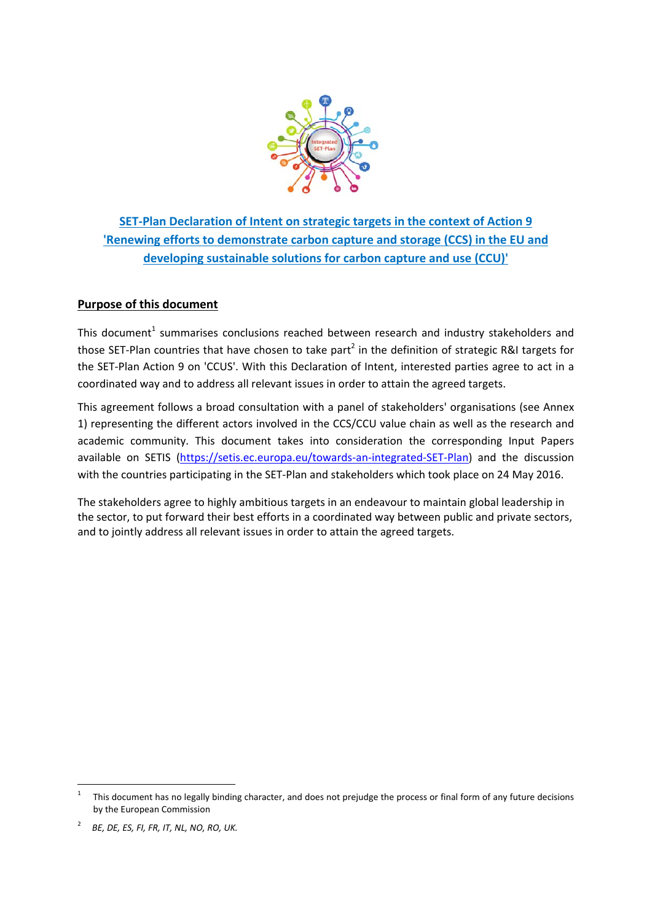

**SET‐Plan Declaration of Intent on strategic targets in the context of Action 9 'Renewing efforts to demonstrate carbon capture and storage (CCS) in the EU and developing sustainable solutions for carbon capture and use (CCU)'**

# **Purpose of this document**

This document<sup>1</sup> summarises conclusions reached between research and industry stakeholders and those SET-Plan countries that have chosen to take part<sup>2</sup> in the definition of strategic R&I targets for the SET‐Plan Action 9 on 'CCUS'. With this Declaration of Intent, interested parties agree to act in a coordinated way and to address all relevant issues in order to attain the agreed targets.

This agreement follows a broad consultation with a panel of stakeholders' organisations (see Annex 1) representing the different actors involved in the CCS/CCU value chain as well as the research and academic community. This document takes into consideration the corresponding Input Papers available on SETIS (https://setis.ec.europa.eu/towards‐an‐integrated‐SET‐Plan) and the discussion with the countries participating in the SET-Plan and stakeholders which took place on 24 May 2016.

The stakeholders agree to highly ambitious targets in an endeavour to maintain global leadership in the sector, to put forward their best efforts in a coordinated way between public and private sectors, and to jointly address all relevant issues in order to attain the agreed targets.

<sup>1</sup> This document has no legally binding character, and does not prejudge the process or final form of any future decisions by the European Commission

<sup>2</sup> *BE, DE, ES, FI, FR, IT, NL, NO, RO, UK.*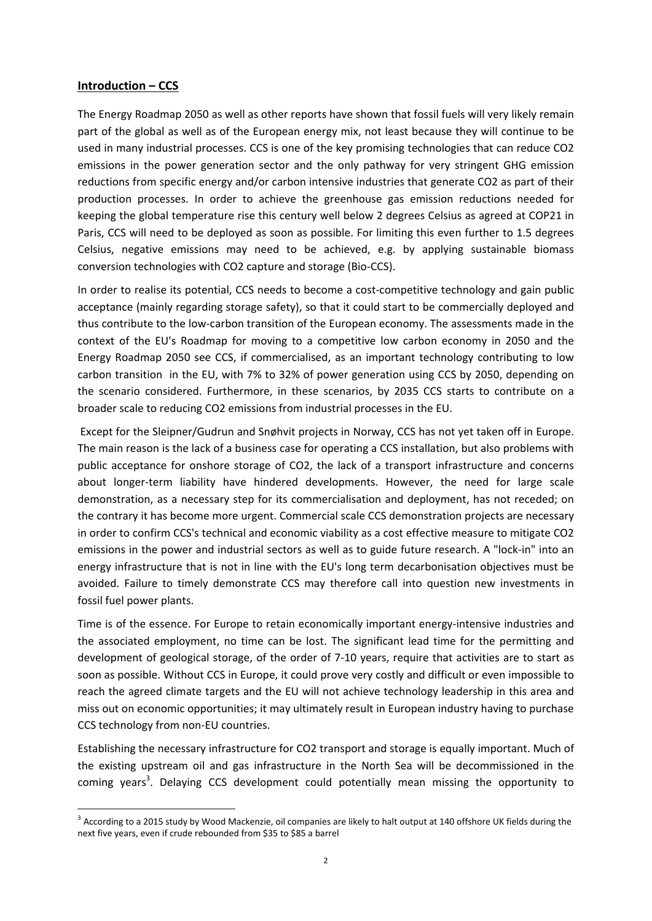### **Introduction – CCS**

The Energy Roadmap 2050 as well as other reports have shown that fossil fuels will very likely remain part of the global as well as of the European energy mix, not least because they will continue to be used in many industrial processes. CCS is one of the key promising technologies that can reduce CO2 emissions in the power generation sector and the only pathway for very stringent GHG emission reductions from specific energy and/or carbon intensive industries that generate CO2 as part of their production processes. In order to achieve the greenhouse gas emission reductions needed for keeping the global temperature rise this century well below 2 degrees Celsius as agreed at COP21 in Paris, CCS will need to be deployed as soon as possible. For limiting this even further to 1.5 degrees Celsius, negative emissions may need to be achieved, e.g. by applying sustainable biomass conversion technologies with CO2 capture and storage (Bio‐CCS).

In order to realise its potential, CCS needs to become a cost-competitive technology and gain public acceptance (mainly regarding storage safety), so that it could start to be commercially deployed and thus contribute to the low‐carbon transition of the European economy. The assessments made in the context of the EU's Roadmap for moving to a competitive low carbon economy in 2050 and the Energy Roadmap 2050 see CCS, if commercialised, as an important technology contributing to low carbon transition in the EU, with 7% to 32% of power generation using CCS by 2050, depending on the scenario considered. Furthermore, in these scenarios, by 2035 CCS starts to contribute on a broader scale to reducing CO2 emissions from industrial processes in the EU.

Except for the Sleipner/Gudrun and Snøhvit projects in Norway, CCS has not yet taken off in Europe. The main reason is the lack of a business case for operating a CCS installation, but also problems with public acceptance for onshore storage of CO2, the lack of a transport infrastructure and concerns about longer-term liability have hindered developments. However, the need for large scale demonstration, as a necessary step for its commercialisation and deployment, has not receded; on the contrary it has become more urgent. Commercial scale CCS demonstration projects are necessary in order to confirm CCS's technical and economic viability as a cost effective measure to mitigate CO2 emissions in the power and industrial sectors as well as to guide future research. A "lock-in" into an energy infrastructure that is not in line with the EU's long term decarbonisation objectives must be avoided. Failure to timely demonstrate CCS may therefore call into question new investments in fossil fuel power plants.

Time is of the essence. For Europe to retain economically important energy-intensive industries and the associated employment, no time can be lost. The significant lead time for the permitting and development of geological storage, of the order of 7‐10 years, require that activities are to start as soon as possible. Without CCS in Europe, it could prove very costly and difficult or even impossible to reach the agreed climate targets and the EU will not achieve technology leadership in this area and miss out on economic opportunities; it may ultimately result in European industry having to purchase CCS technology from non‐EU countries.

Establishing the necessary infrastructure for CO2 transport and storage is equally important. Much of the existing upstream oil and gas infrastructure in the North Sea will be decommissioned in the coming years<sup>3</sup>. Delaying CCS development could potentially mean missing the opportunity to

<sup>&</sup>lt;sup>3</sup> According to a 2015 study by Wood Mackenzie, oil companies are likely to halt output at 140 offshore UK fields during the next five years, even if crude rebounded from \$35 to \$85 a barrel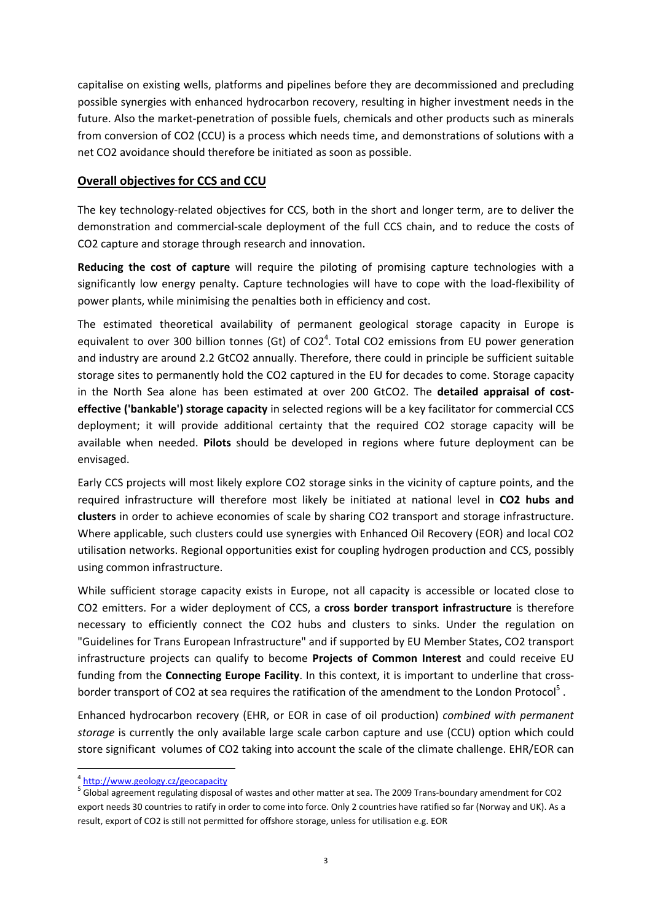capitalise on existing wells, platforms and pipelines before they are decommissioned and precluding possible synergies with enhanced hydrocarbon recovery, resulting in higher investment needs in the future. Also the market‐penetration of possible fuels, chemicals and other products such as minerals from conversion of CO2 (CCU) is a process which needs time, and demonstrations of solutions with a net CO2 avoidance should therefore be initiated as soon as possible.

# **Overall objectives for CCS and CCU**

The key technology-related objectives for CCS, both in the short and longer term, are to deliver the demonstration and commercial‐scale deployment of the full CCS chain, and to reduce the costs of CO2 capture and storage through research and innovation.

**Reducing the cost of capture** will require the piloting of promising capture technologies with a significantly low energy penalty. Capture technologies will have to cope with the load-flexibility of power plants, while minimising the penalties both in efficiency and cost.

The estimated theoretical availability of permanent geological storage capacity in Europe is equivalent to over 300 billion tonnes (Gt) of  $CO2<sup>4</sup>$ . Total CO2 emissions from EU power generation and industry are around 2.2 GtCO2 annually. Therefore, there could in principle be sufficient suitable storage sites to permanently hold the CO2 captured in the EU for decades to come. Storage capacity in the North Sea alone has been estimated at over 200 GtCO2. The **detailed appraisal of cost‐ effective ('bankable') storage capacity** in selected regions will be a key facilitator for commercial CCS deployment; it will provide additional certainty that the required CO2 storage capacity will be available when needed. **Pilots** should be developed in regions where future deployment can be envisaged.

Early CCS projects will most likely explore CO2 storage sinks in the vicinity of capture points, and the required infrastructure will therefore most likely be initiated at national level in **CO2 hubs and clusters** in order to achieve economies of scale by sharing CO2 transport and storage infrastructure. Where applicable, such clusters could use synergies with Enhanced Oil Recovery (EOR) and local CO2 utilisation networks. Regional opportunities exist for coupling hydrogen production and CCS, possibly using common infrastructure.

While sufficient storage capacity exists in Europe, not all capacity is accessible or located close to CO2 emitters. For a wider deployment of CCS, a **cross border transport infrastructure** is therefore necessary to efficiently connect the CO2 hubs and clusters to sinks. Under the regulation on "Guidelines for Trans European Infrastructure" and if supported by EU Member States, CO2 transport infrastructure projects can qualify to become **Projects of Common Interest** and could receive EU funding from the **Connecting Europe Facility**. In this context, it is important to underline that cross‐ border transport of CO2 at sea requires the ratification of the amendment to the London Protocol<sup>5</sup>.

Enhanced hydrocarbon recovery (EHR, or EOR in case of oil production) *combined with permanent storage* is currently the only available large scale carbon capture and use (CCU) option which could store significant volumes of CO2 taking into account the scale of the climate challenge. EHR/EOR can

 <sup>4</sup> http://www.geology.cz/geocapacity

 $<sup>5</sup>$  Global agreement regulating disposal of wastes and other matter at sea. The 2009 Trans-boundary amendment for CO2</sup> export needs 30 countries to ratify in order to come into force. Only 2 countries have ratified so far (Norway and UK). As a result, export of CO2 is still not permitted for offshore storage, unless for utilisation e.g. EOR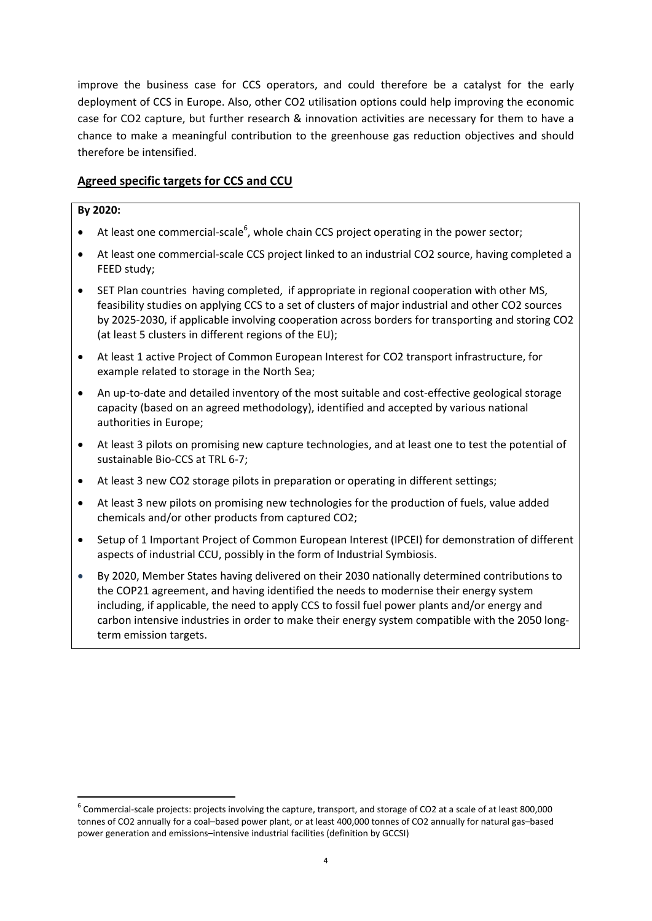improve the business case for CCS operators, and could therefore be a catalyst for the early deployment of CCS in Europe. Also, other CO2 utilisation options could help improving the economic case for CO2 capture, but further research & innovation activities are necessary for them to have a chance to make a meaningful contribution to the greenhouse gas reduction objectives and should therefore be intensified.

# **Agreed specific targets for CCS and CCU**

## **By 2020:**

- $\bullet$  At least one commercial-scale<sup>6</sup>, whole chain CCS project operating in the power sector;
- At least one commercial‐scale CCS project linked to an industrial CO2 source, having completed a FEED study;
- SET Plan countries having completed, if appropriate in regional cooperation with other MS, feasibility studies on applying CCS to a set of clusters of major industrial and other CO2 sources by 2025‐2030, if applicable involving cooperation across borders for transporting and storing CO2 (at least 5 clusters in different regions of the EU);
- At least 1 active Project of Common European Interest for CO2 transport infrastructure, for example related to storage in the North Sea;
- An up‐to‐date and detailed inventory of the most suitable and cost‐effective geological storage capacity (based on an agreed methodology), identified and accepted by various national authorities in Europe;
- At least 3 pilots on promising new capture technologies, and at least one to test the potential of sustainable Bio‐CCS at TRL 6‐7;
- At least 3 new CO2 storage pilots in preparation or operating in different settings;
- At least 3 new pilots on promising new technologies for the production of fuels, value added chemicals and/or other products from captured CO2;
- Setup of 1 Important Project of Common European Interest (IPCEI) for demonstration of different aspects of industrial CCU, possibly in the form of Industrial Symbiosis.
- By 2020, Member States having delivered on their 2030 nationally determined contributions to the COP21 agreement, and having identified the needs to modernise their energy system including, if applicable, the need to apply CCS to fossil fuel power plants and/or energy and carbon intensive industries in order to make their energy system compatible with the 2050 long‐ term emission targets.

 $6$  Commercial-scale projects: projects involving the capture, transport, and storage of CO2 at a scale of at least 800,000 tonnes of CO2 annually for a coal–based power plant, or at least 400,000 tonnes of CO2 annually for natural gas–based power generation and emissions–intensive industrial facilities (definition by GCCSI)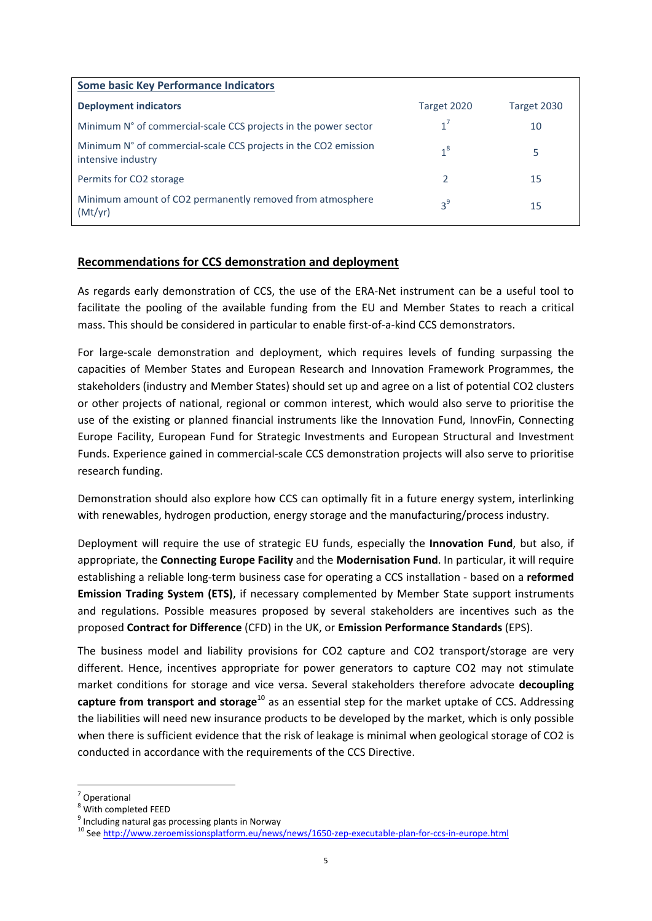| <b>Some basic Key Performance Indicators</b>                                          |             |             |
|---------------------------------------------------------------------------------------|-------------|-------------|
| <b>Deployment indicators</b>                                                          | Target 2020 | Target 2030 |
| Minimum N° of commercial-scale CCS projects in the power sector                       | $1^7$       | 10          |
| Minimum N° of commercial-scale CCS projects in the CO2 emission<br>intensive industry | $1^8$       | 5           |
| Permits for CO2 storage                                                               |             | 15          |
| Minimum amount of CO2 permanently removed from atmosphere<br>(Mt/vr)                  | $3^9$       | 15          |

## **Recommendations for CCS demonstration and deployment**

As regards early demonstration of CCS, the use of the ERA‐Net instrument can be a useful tool to facilitate the pooling of the available funding from the EU and Member States to reach a critical mass. This should be considered in particular to enable first‐of‐a‐kind CCS demonstrators.

For large-scale demonstration and deployment, which requires levels of funding surpassing the capacities of Member States and European Research and Innovation Framework Programmes, the stakeholders (industry and Member States) should set up and agree on a list of potential CO2 clusters or other projects of national, regional or common interest, which would also serve to prioritise the use of the existing or planned financial instruments like the Innovation Fund, InnovFin, Connecting Europe Facility, European Fund for Strategic Investments and European Structural and Investment Funds. Experience gained in commercial‐scale CCS demonstration projects will also serve to prioritise research funding.

Demonstration should also explore how CCS can optimally fit in a future energy system, interlinking with renewables, hydrogen production, energy storage and the manufacturing/process industry.

Deployment will require the use of strategic EU funds, especially the **Innovation Fund**, but also, if appropriate, the **Connecting Europe Facility** and the **Modernisation Fund**. In particular, it will require establishing a reliable long‐term business case for operating a CCS installation ‐ based on a **reformed Emission Trading System (ETS)**, if necessary complemented by Member State support instruments and regulations. Possible measures proposed by several stakeholders are incentives such as the proposed **Contract for Difference** (CFD) in the UK, or **Emission Performance Standards** (EPS).

The business model and liability provisions for CO2 capture and CO2 transport/storage are very different. Hence, incentives appropriate for power generators to capture CO2 may not stimulate market conditions for storage and vice versa. Several stakeholders therefore advocate **decoupling capture from transport and storage**<sup>10</sup> as an essential step for the market uptake of CCS. Addressing the liabilities will need new insurance products to be developed by the market, which is only possible when there is sufficient evidence that the risk of leakage is minimal when geological storage of CO2 is conducted in accordance with the requirements of the CCS Directive.

 $\frac{7}{8}$  Operational<br>  $\frac{8}{8}$  With completed FEED

<sup>&</sup>lt;sup>9</sup> Including natural gas processing plants in Norway  $^{10}$  See http://www.zeroemissionsplatform.eu/news/news/1650-zep-executable-plan-for-ccs-in-europe.html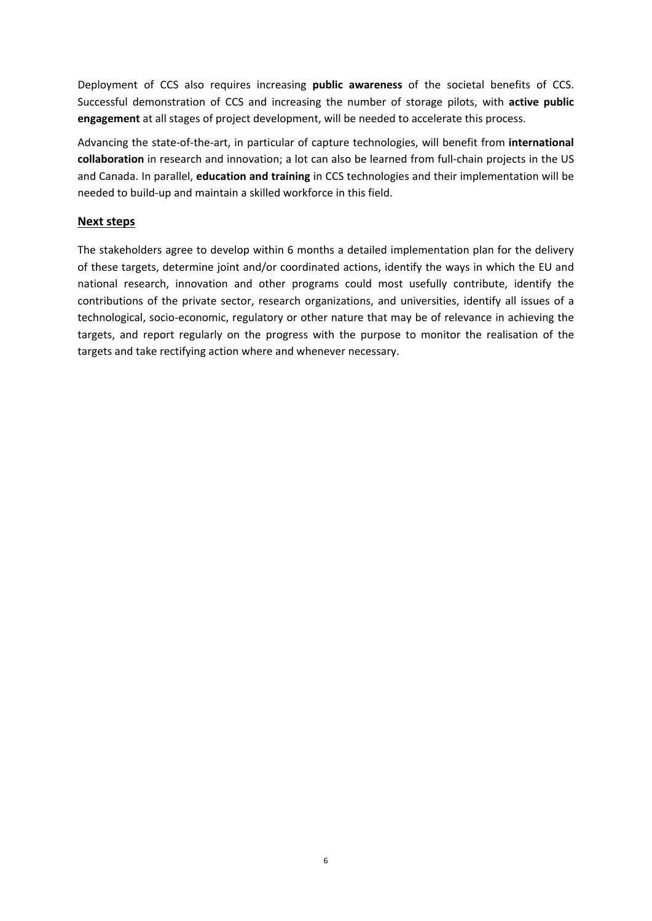Deployment of CCS also requires increasing **public awareness** of the societal benefits of CCS. Successful demonstration of CCS and increasing the number of storage pilots, with **active public engagement** at all stages of project development, will be needed to accelerate this process.

Advancing the state‐of‐the‐art, in particular of capture technologies, will benefit from **international collaboration** in research and innovation; a lot can also be learned from full‐chain projects in the US and Canada. In parallel, **education and training** in CCS technologies and their implementation will be needed to build‐up and maintain a skilled workforce in this field.

# **Next steps**

The stakeholders agree to develop within 6 months a detailed implementation plan for the delivery of these targets, determine joint and/or coordinated actions, identify the ways in which the EU and national research, innovation and other programs could most usefully contribute, identify the contributions of the private sector, research organizations, and universities, identify all issues of a technological, socio‐economic, regulatory or other nature that may be of relevance in achieving the targets, and report regularly on the progress with the purpose to monitor the realisation of the targets and take rectifying action where and whenever necessary.